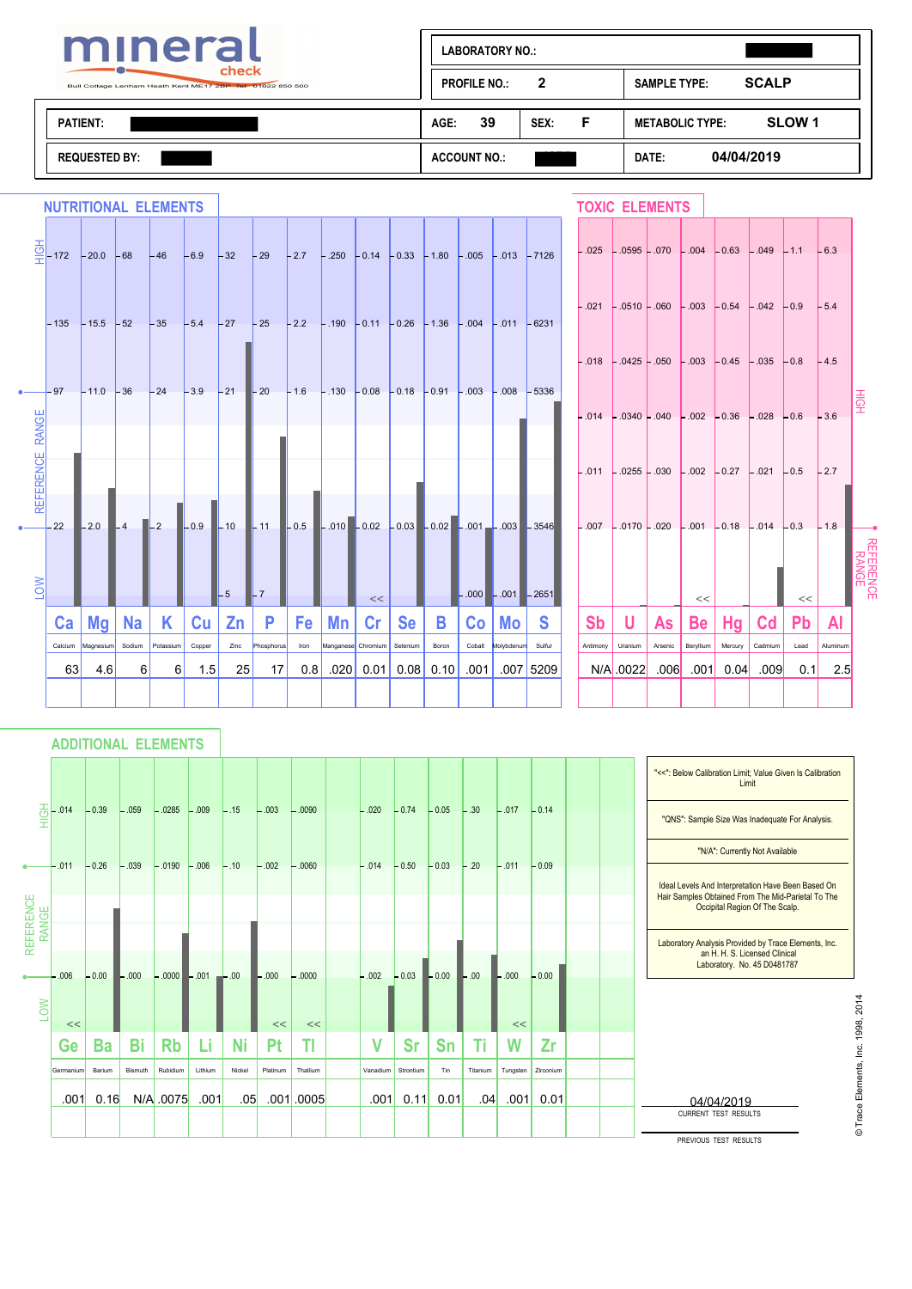

| mineral                                                             | <b>LABORATORY NO.:</b>                |                                             |
|---------------------------------------------------------------------|---------------------------------------|---------------------------------------------|
| check<br>Bull Cottage Lenham Heath Kent ME17 2BP Tel: 01622 850 500 | $\overline{2}$<br><b>PROFILE NO.:</b> | <b>SCALP</b><br><b>SAMPLE TYPE:</b>         |
| <b>PATIENT:</b>                                                     | 39<br>E<br>AGE:<br>SEX:               | SLOW <sub>1</sub><br><b>METABOLIC TYPE:</b> |
| REQUESTED BY .                                                      | <b>ACCOUNT NO.:</b>                   | 04/04/2019<br>DATE:                         |

|                 | <b>NUTRITIONAL ELEMENTS</b>                                                                                     |                           |     |                  |             |           |              |      |                    |           |           |       |                                    |                                                                                                                                                                                          |           | <b>TOXIC ELEMENTS</b> |         |                 |             |                                                                   |                 |          |                   |
|-----------------|-----------------------------------------------------------------------------------------------------------------|---------------------------|-----|------------------|-------------|-----------|--------------|------|--------------------|-----------|-----------|-------|------------------------------------|------------------------------------------------------------------------------------------------------------------------------------------------------------------------------------------|-----------|-----------------------|---------|-----------------|-------------|-------------------------------------------------------------------|-----------------|----------|-------------------|
|                 | $\frac{\circ}{\circ}$ - 172 - 20.0 - 68 - 46 - 6.9 - 32 - 29 - 27 - 250 - 0.14 - 0.33 - 1.80 - 005 - 013 - 7126 |                           |     |                  |             |           |              |      |                    |           |           |       |                                    |                                                                                                                                                                                          |           |                       |         |                 |             | $-.025$ $-.0595$ $-.070$ $-.004$ $-.063$ $-.049$ $-.11$ $-.63$    |                 |          |                   |
|                 | $-135$ $-15.5$ $-52$ $-35$ $-5.4$ $-27$ $-25$ $-2.2$ $-190$ $-0.11$ $-0.26$ $-1.36$ $-0.04$ $-0.11$ $-6231$     |                           |     |                  |             |           |              |      |                    |           |           |       |                                    |                                                                                                                                                                                          |           |                       |         |                 |             | $-.021$ $-.0510$ $-.060$ $-.003$ $-.0.54$ $-.042$ $-.0.9$ $-.5.4$ |                 |          |                   |
|                 |                                                                                                                 |                           |     |                  |             |           |              |      |                    |           |           |       |                                    |                                                                                                                                                                                          |           |                       |         |                 |             | $-.018$ - 0425 - 050 - 003 - 0.45 - 0.35 - 0.8 - 4.5              |                 |          | 옾                 |
| <b>RANGE</b>    |                                                                                                                 |                           |     |                  |             |           |              |      |                    |           |           |       |                                    |                                                                                                                                                                                          |           |                       |         |                 |             | $-.014$ $-.0340$ $-.040$ $-.002$ $-.036$ $-.028$ $-.0.6$ $-.36$   |                 |          |                   |
| REFERENCE       | $-22$                                                                                                           |                           |     |                  |             |           |              |      |                    |           |           |       |                                    | $-2.0$ $-4$ $-2$ $-0.9$ $-10$ $-11$ $-0.5$ $-0.01$ $-0.02$ $-0.03$ $-0.02$ $-0.01$ $-0.03$ $-3546$ $-0.07$ $-0.07$ $-0.07$ $-0.02$ $-0.01$ $-0.03$ $-0.04$ $-0.18$ $-0.14$ $-0.3$ $-1.8$ |           |                       |         |                 |             | $-.011$ $-.0255$ $-.030$ $-.002$ $-.0.27$ $-.021$ $-.0.5$ $-.2.7$ |                 |          |                   |
| $\overline{OM}$ |                                                                                                                 |                           |     |                  |             | $-5$      | $\mathbf{L}$ |      |                    |           |           |       |                                    |                                                                                                                                                                                          |           |                       |         |                 |             |                                                                   |                 |          | 祒<br>RENCE<br>NGE |
|                 |                                                                                                                 | $Ca \mid Mg \mid Na \mid$ |     | K.               | <b>Cu</b> l | Zn        | P            |      | $Fe$   Mn          | <<<br> Cr | <b>Se</b> | B     | $-.000$ $-.001$ $-2651$<br>Co   Mo | <b>S</b>                                                                                                                                                                                 | <b>Sb</b> | U                     | As      | <<<br><b>Be</b> | Hg          | <b>Cd</b>                                                         | <<<br><b>Pb</b> | ΑI       |                   |
|                 |                                                                                                                 | Calcium Magnesium         |     | Sodium Potassium | Copper      | Zinc      | Phosphorus   | Iron | Manganese Chromium |           | Selenium  | Boron | Cobalt Molybdenum                  | Sulfur                                                                                                                                                                                   | Antimony  | Uranium               | Arsenic | Beryllium       | Mercury     | Cadmium                                                           | Lead            | Aluminum |                   |
|                 | 63                                                                                                              | 4.6                       | -61 | <sup>6</sup>     | 15          | <b>25</b> | 17 I         | 0.8  |                    |           |           |       |                                    | $.020$ 0.01 0.08 0.10 0.01 0.07 5209                                                                                                                                                     |           | N/A 0022              | .006    |                 | $.001$ 0.04 | .009                                                              | 0.1             | 2.5      |                   |
|                 |                                                                                                                 |                           |     |                  |             |           |              |      |                    |           |           |       |                                    |                                                                                                                                                                                          |           |                       |         |                 |             |                                                                   |                 |          |                   |

# **ADDITIONAL ELEMENTS**

|                    |           |           |         |                   |         |           |          |                |              |           |           |                              |          |           |  | "<<": Below Calibration Limit; Value Given Is Calibration<br>Limit                                       |
|--------------------|-----------|-----------|---------|-------------------|---------|-----------|----------|----------------|--------------|-----------|-----------|------------------------------|----------|-----------|--|----------------------------------------------------------------------------------------------------------|
| 掌                  | .014      | $-0.39$   | $-.059$ | $-0.0285 - 0.009$ |         | $-.15$    | $-.003$  | $-.0090$       | $-.020$      | $-0.74$   | $-0.05$   | $-.30$                       | $-.017$  | $-0.14$   |  | "QNS": Sample Size Was Inadequate For Analysis.                                                          |
|                    |           |           |         |                   |         |           |          |                |              |           |           |                              |          |           |  | "N/A": Currently Not Available                                                                           |
|                    | $-.011$   | $-0.26$   | $-.039$ | $-.0190$          | $-.006$ | $-.10$    | $-.002$  | $-.0060$       | $-.014$      | $-0.50$   | $-0.03$   | $-.20$                       | $-.011$  | $-0.09$   |  | Ideal Levels And Interpretation Have Been Based On<br>Hair Samples Obtained From The Mid-Parietal To The |
|                    |           |           |         |                   |         |           |          |                |              |           |           |                              |          |           |  | Occipital Region Of The Scalp.                                                                           |
| REFERENCE<br>RANGE |           |           |         |                   |         |           |          |                |              |           |           |                              |          |           |  | Laboratory Analysis Provided by Trace Elements, Inc.                                                     |
|                    | .006      | $-0.00$   | $-0.00$ | $-.0000 - .001$   |         | $-00$     | $-.000$  | $-0000$        | $-.002$      | $-0.03$   | $-0.00$   | $\overline{\phantom{0}}$ .00 | $-.000$  | $-0.00$   |  | an H. H. S. Licensed Clinical<br>Laboratory. No. 45 D0481787                                             |
| LOW                |           |           |         |                   |         |           |          |                |              |           |           |                              |          |           |  |                                                                                                          |
|                    | <<        |           |         |                   |         |           | <<       | <<             |              |           |           |                              | <<       |           |  |                                                                                                          |
|                    | Ge        | <b>Ba</b> | Bi      | <b>Rb</b>         | Li      | <b>Ni</b> | Pt       | ΤI             | $\mathsf{V}$ | <b>Sr</b> | <b>Sn</b> | Τi                           | W        | Zr        |  |                                                                                                          |
|                    | Germanium | Barium    | Bismuth | Rubidium          | Lithium | Nickel    | Platinum | Thallium       | Vanadium     | Strontium | Tin       | Titanium                     | Tungsten | Zirconium |  |                                                                                                          |
|                    | .001      | 0.16      |         | N/A .0075         | .001    | .05       |          | $.001$ $.0005$ | .001         | 0.11      | 0.01      | .04                          | .001     | 0.01      |  | 04/04/2019                                                                                               |
|                    |           |           |         |                   |         |           |          |                |              |           |           |                              |          |           |  | <b>CURRENT TEST RESULTS</b>                                                                              |
|                    |           |           |         |                   |         |           |          |                |              |           |           |                              |          |           |  | PREVIOUS TEST RESULTS                                                                                    |

© Trace Elements, Inc. 1998, 2014 © Trace Elements, Inc. 1998, 2014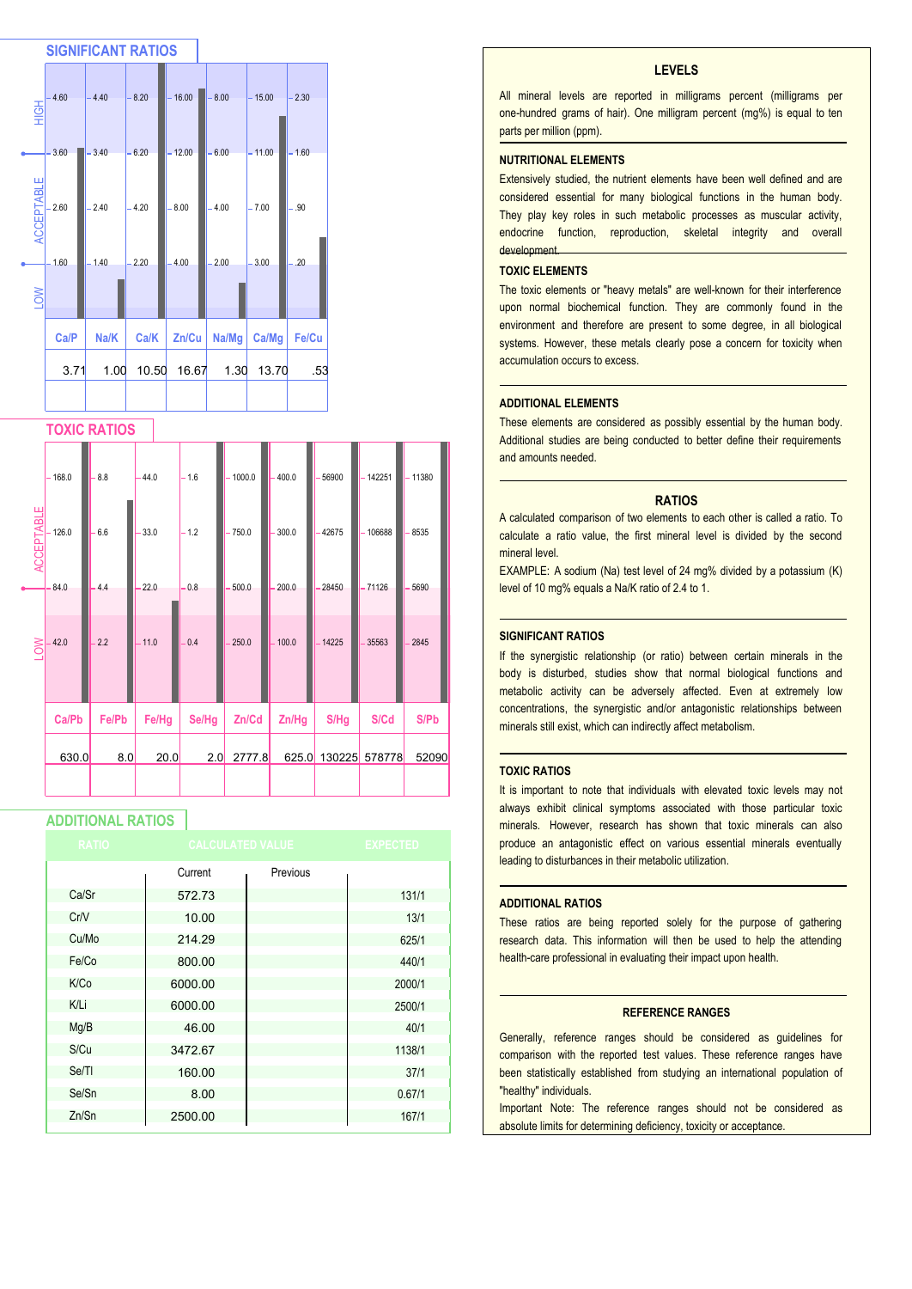

#### **TOXIC RATIOS**

|                   | $-168.0$ | 8.8   | $-44.0$ | $-1.6$ | $-1000.0$ | $-400.0$ | 56900    | 142251   | $-11380$ |
|-------------------|----------|-------|---------|--------|-----------|----------|----------|----------|----------|
| <b>ACCEPTABLE</b> | 126.0    | 6.6   | 33.0    | $-1.2$ | $-750.0$  | $-300.0$ | -42675   | 106688   | 8535     |
|                   | 84.0     | 4.4   | 22.0    | 0.8    | 500.0     | 200.0    | 28450    | $-71126$ | 5690     |
| LOW               | 42.0     | 2.2   | $-11.0$ | 0.4    | 250.0     | $-100.0$ | $-14225$ | 35563    | 2845     |
|                   |          |       |         |        |           |          |          |          |          |
|                   | Ca/Pb    | Fe/Pb | Fe/Hg   | Se/Hg  | Zn/Cd     | Zn/Hg    | S/Hg     | S/Cd     | S/Pb     |
|                   | 630.0    | 8.0   | 20.0    | 2.0    | 2777.8    | 625.0    | 130225   | 578778   | 52090    |
|                   |          |       |         |        |           |          |          |          |          |

### **ADDITIONAL RATIOS**

| <b>RATIO</b> |         | <b>CALCULATED VALUE</b> | <b>EXPECTED</b> |
|--------------|---------|-------------------------|-----------------|
|              | Current | Previous                |                 |
| Ca/Sr        | 572.73  |                         | 131/1           |
| Cr/V         | 10.00   |                         | 13/1            |
| Cu/Mo        | 214.29  |                         | 625/1           |
| Fe/Co        | 800.00  |                         | 440/1           |
| K/Co         | 6000.00 |                         | 2000/1          |
| K/Li         | 6000.00 |                         | 2500/1          |
| Mg/B         | 46.00   |                         | 40/1            |
| S/Cu         | 3472.67 |                         | 1138/1          |
| Se/TI        | 160.00  |                         | 37/1            |
| Se/Sn        | 8.00    |                         | 0.67/1          |
| Zn/Sn        | 2500.00 |                         | 167/1           |

#### **LEVELS**

All mineral levels are reported in milligrams percent (milligrams per one-hundred grams of hair). One milligram percent (mg%) is equal to ten parts per million (ppm).

#### **NUTRITIONAL ELEMENTS**

Extensively studied, the nutrient elements have been well defined and are considered essential for many biological functions in the human body. They play key roles in such metabolic processes as muscular activity, endocrine function, reproduction, skeletal integrity and overall development.

#### **TOXIC ELEMENTS**

The toxic elements or "heavy metals" are well-known for their interference upon normal biochemical function. They are commonly found in the environment and therefore are present to some degree, in all biological systems. However, these metals clearly pose a concern for toxicity when accumulation occurs to excess.

#### **ADDITIONAL ELEMENTS**

These elements are considered as possibly essential by the human body. Additional studies are being conducted to better define their requirements and amounts needed.

#### **RATIOS**

A calculated comparison of two elements to each other is called a ratio. To calculate a ratio value, the first mineral level is divided by the second mineral level.

EXAMPLE: A sodium (Na) test level of 24 mg% divided by a potassium (K) level of 10 mg% equals a Na/K ratio of 2.4 to 1.

#### **SIGNIFICANT RATIOS**

If the synergistic relationship (or ratio) between certain minerals in the body is disturbed, studies show that normal biological functions and metabolic activity can be adversely affected. Even at extremely low concentrations, the synergistic and/or antagonistic relationships between minerals still exist, which can indirectly affect metabolism.

#### **TOXIC RATIOS**

It is important to note that individuals with elevated toxic levels may not always exhibit clinical symptoms associated with those particular toxic minerals. However, research has shown that toxic minerals can also produce an antagonistic effect on various essential minerals eventually leading to disturbances in their metabolic utilization.

#### **ADDITIONAL RATIOS**

These ratios are being reported solely for the purpose of gathering research data. This information will then be used to help the attending health-care professional in evaluating their impact upon health.

#### **REFERENCE RANGES**

Generally, reference ranges should be considered as guidelines for comparison with the reported test values. These reference ranges have been statistically established from studying an international population of "healthy" individuals.

Important Note: The reference ranges should not be considered as absolute limits for determining deficiency, toxicity or acceptance.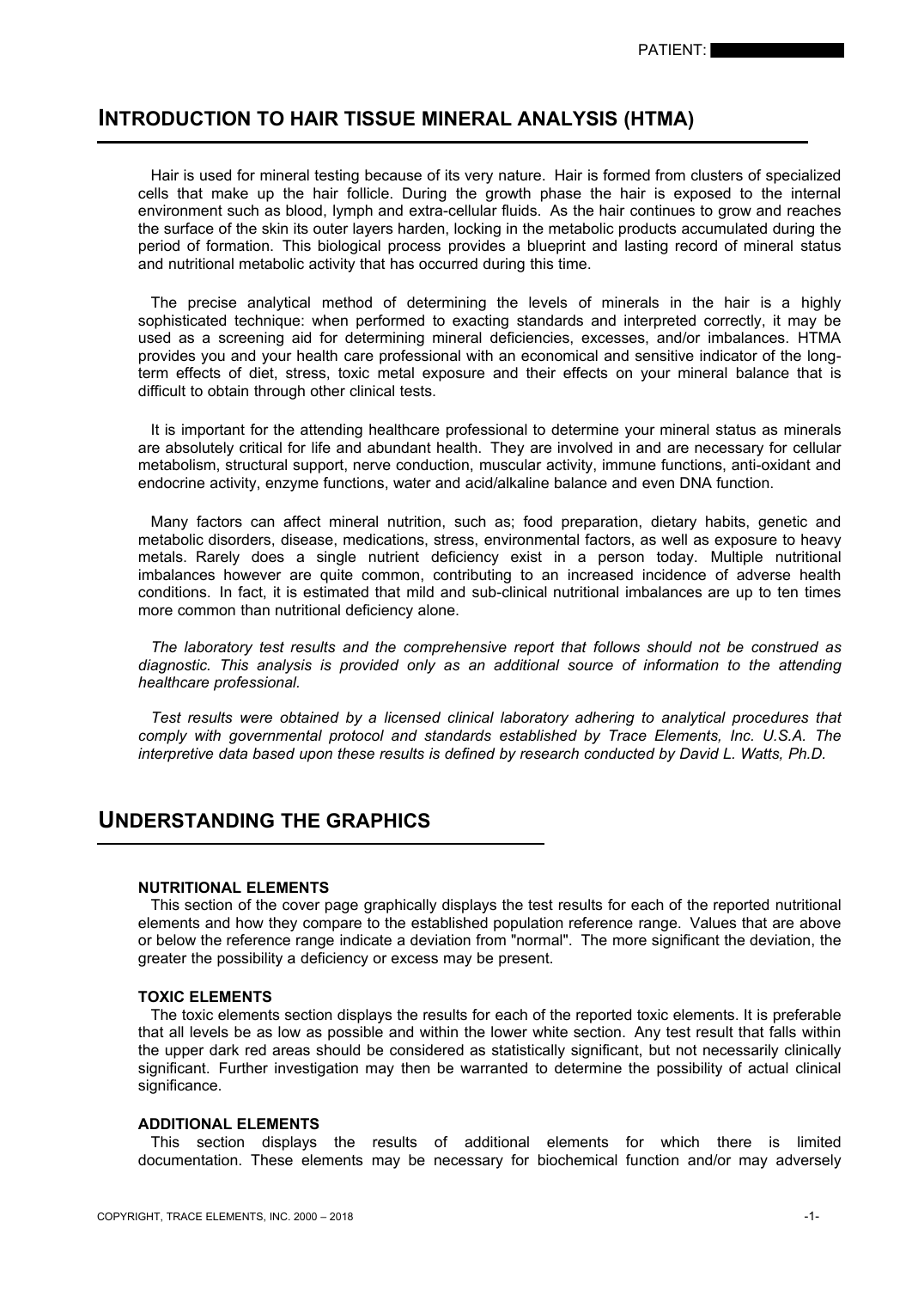# **INTRODUCTION TO HAIR TISSUE MINERAL ANALYSIS (HTMA)**

 Hair is used for mineral testing because of its very nature. Hair is formed from clusters of specialized cells that make up the hair follicle. During the growth phase the hair is exposed to the internal environment such as blood, lymph and extra-cellular fluids. As the hair continues to grow and reaches the surface of the skin its outer layers harden, locking in the metabolic products accumulated during the period of formation. This biological process provides a blueprint and lasting record of mineral status and nutritional metabolic activity that has occurred during this time.

 The precise analytical method of determining the levels of minerals in the hair is a highly sophisticated technique: when performed to exacting standards and interpreted correctly, it may be used as a screening aid for determining mineral deficiencies, excesses, and/or imbalances. HTMA provides you and your health care professional with an economical and sensitive indicator of the longterm effects of diet, stress, toxic metal exposure and their effects on your mineral balance that is difficult to obtain through other clinical tests.

 It is important for the attending healthcare professional to determine your mineral status as minerals are absolutely critical for life and abundant health. They are involved in and are necessary for cellular metabolism, structural support, nerve conduction, muscular activity, immune functions, anti-oxidant and endocrine activity, enzyme functions, water and acid/alkaline balance and even DNA function.

 Many factors can affect mineral nutrition, such as; food preparation, dietary habits, genetic and metabolic disorders, disease, medications, stress, environmental factors, as well as exposure to heavy metals. Rarely does a single nutrient deficiency exist in a person today. Multiple nutritional imbalances however are quite common, contributing to an increased incidence of adverse health conditions. In fact, it is estimated that mild and sub-clinical nutritional imbalances are up to ten times more common than nutritional deficiency alone.

 *The laboratory test results and the comprehensive report that follows should not be construed as diagnostic. This analysis is provided only as an additional source of information to the attending healthcare professional.*

 *Test results were obtained by a licensed clinical laboratory adhering to analytical procedures that comply with governmental protocol and standards established by Trace Elements, Inc. U.S.A. The interpretive data based upon these results is defined by research conducted by David L. Watts, Ph.D.*

# **UNDERSTANDING THE GRAPHICS**

# **NUTRITIONAL ELEMENTS**

 This section of the cover page graphically displays the test results for each of the reported nutritional elements and how they compare to the established population reference range. Values that are above or below the reference range indicate a deviation from "normal". The more significant the deviation, the greater the possibility a deficiency or excess may be present.

#### **TOXIC ELEMENTS**

 The toxic elements section displays the results for each of the reported toxic elements. It is preferable that all levels be as low as possible and within the lower white section. Any test result that falls within the upper dark red areas should be considered as statistically significant, but not necessarily clinically significant. Further investigation may then be warranted to determine the possibility of actual clinical significance.

#### **ADDITIONAL ELEMENTS**

 This section displays the results of additional elements for which there is limited documentation. These elements may be necessary for biochemical function and/or may adversely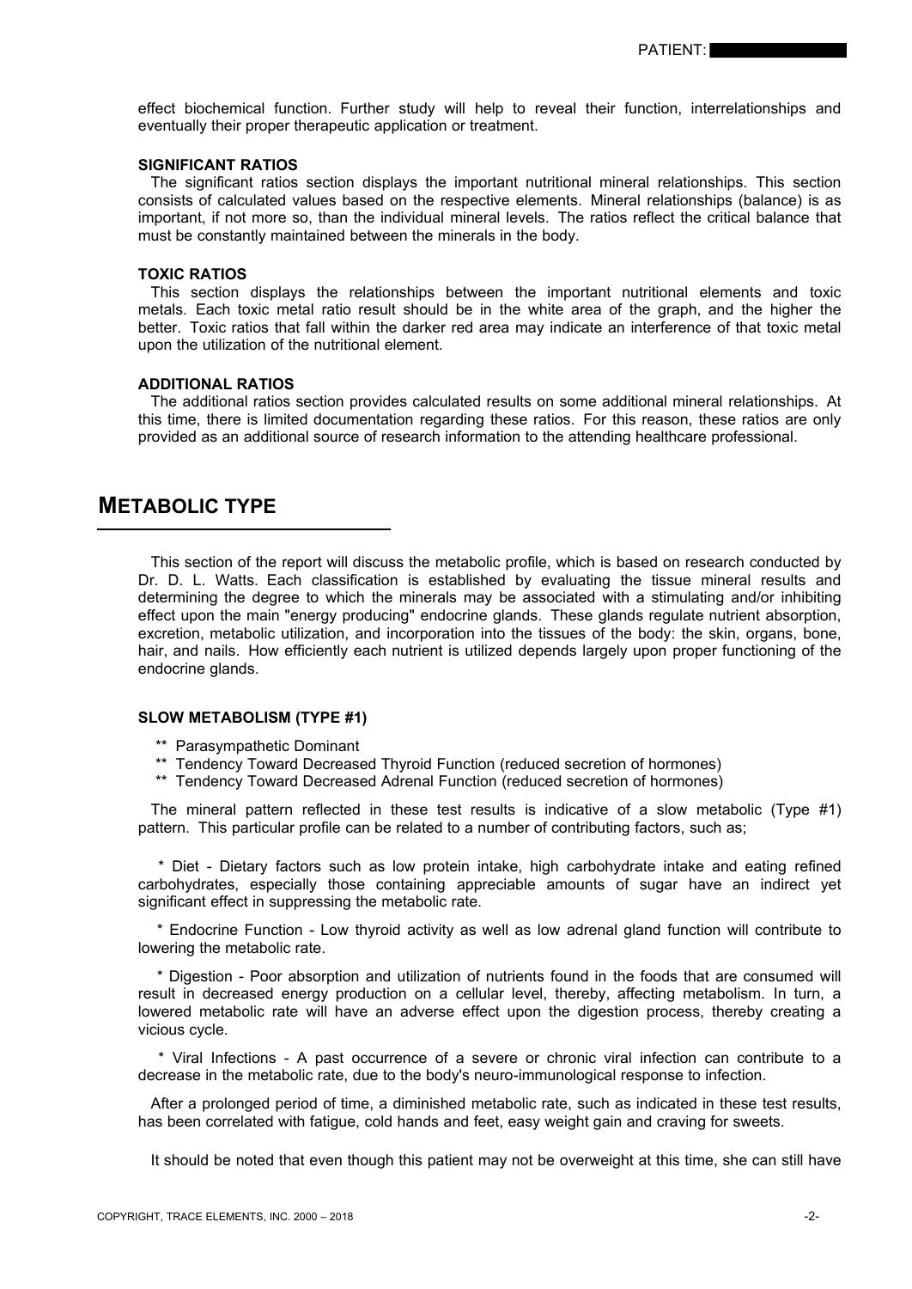effect biochemical function. Further study will help to reveal their function, interrelationships and eventually their proper therapeutic application or treatment.

#### **SIGNIFICANT RATIOS**

 The significant ratios section displays the important nutritional mineral relationships. This section consists of calculated values based on the respective elements. Mineral relationships (balance) is as important, if not more so, than the individual mineral levels. The ratios reflect the critical balance that must be constantly maintained between the minerals in the body.

#### **TOXIC RATIOS**

 This section displays the relationships between the important nutritional elements and toxic metals. Each toxic metal ratio result should be in the white area of the graph, and the higher the better. Toxic ratios that fall within the darker red area may indicate an interference of that toxic metal upon the utilization of the nutritional element.

#### **ADDITIONAL RATIOS**

 The additional ratios section provides calculated results on some additional mineral relationships. At this time, there is limited documentation regarding these ratios. For this reason, these ratios are only provided as an additional source of research information to the attending healthcare professional.

# **METABOLIC TYPE**

 This section of the report will discuss the metabolic profile, which is based on research conducted by Dr. D. L. Watts. Each classification is established by evaluating the tissue mineral results and determining the degree to which the minerals may be associated with a stimulating and/or inhibiting effect upon the main "energy producing" endocrine glands. These glands regulate nutrient absorption, excretion, metabolic utilization, and incorporation into the tissues of the body: the skin, organs, bone, hair, and nails. How efficiently each nutrient is utilized depends largely upon proper functioning of the endocrine glands.

## **SLOW METABOLISM (TYPE #1)**

- \*\* Parasympathetic Dominant
- \*\* Tendency Toward Decreased Thyroid Function (reduced secretion of hormones)
- \*\* Tendency Toward Decreased Adrenal Function (reduced secretion of hormones)

 The mineral pattern reflected in these test results is indicative of a slow metabolic (Type #1) pattern. This particular profile can be related to a number of contributing factors, such as;

 \* Diet - Dietary factors such as low protein intake, high carbohydrate intake and eating refined carbohydrates, especially those containing appreciable amounts of sugar have an indirect yet significant effect in suppressing the metabolic rate.

 \* Endocrine Function - Low thyroid activity as well as low adrenal gland function will contribute to lowering the metabolic rate.

 \* Digestion - Poor absorption and utilization of nutrients found in the foods that are consumed will result in decreased energy production on a cellular level, thereby, affecting metabolism. In turn, a lowered metabolic rate will have an adverse effect upon the digestion process, thereby creating a vicious cycle.

 \* Viral Infections - A past occurrence of a severe or chronic viral infection can contribute to a decrease in the metabolic rate, due to the body's neuro-immunological response to infection.

 After a prolonged period of time, a diminished metabolic rate, such as indicated in these test results, has been correlated with fatigue, cold hands and feet, easy weight gain and craving for sweets.

It should be noted that even though this patient may not be overweight at this time, she can still have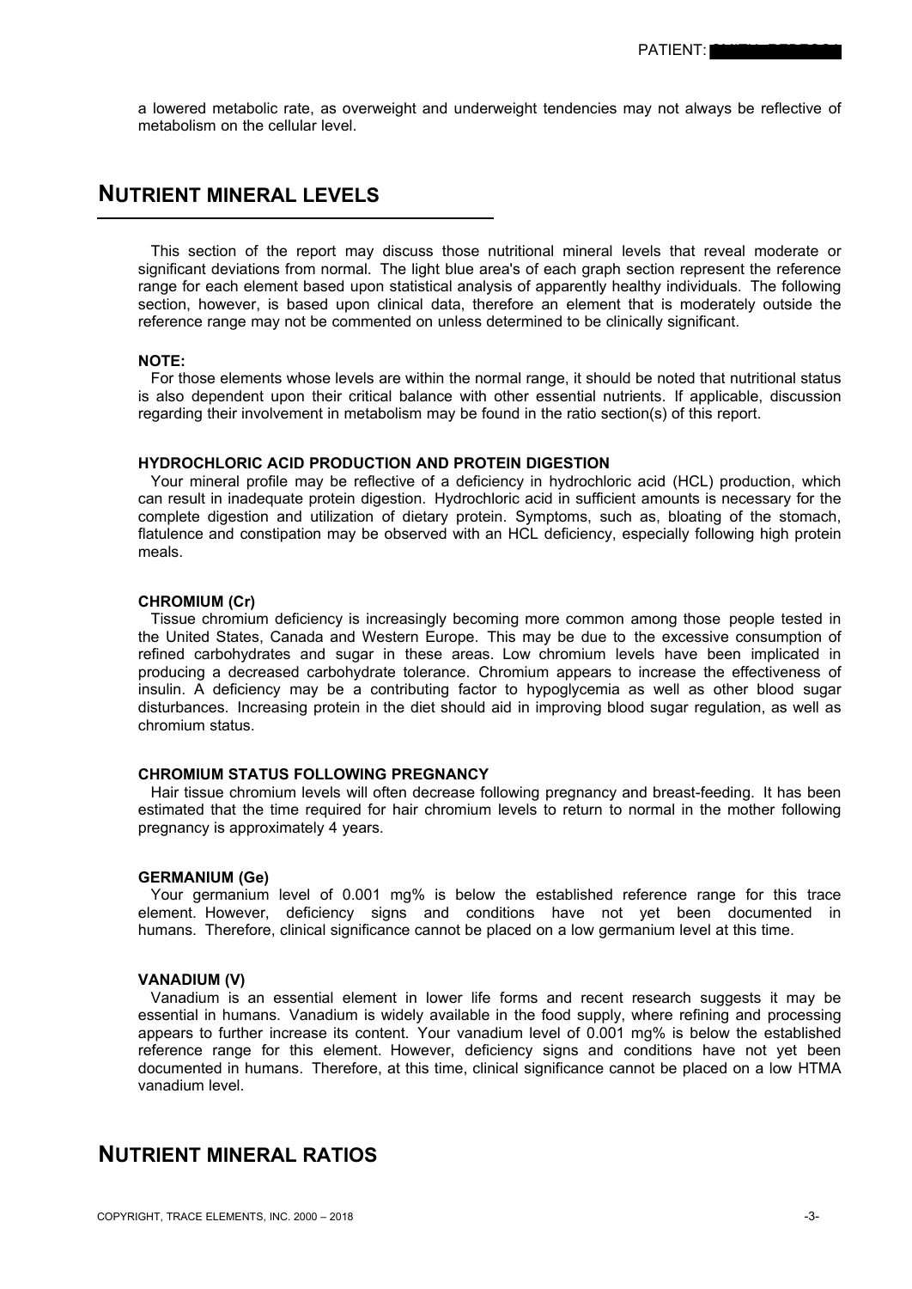a lowered metabolic rate, as overweight and underweight tendencies may not always be reflective of metabolism on the cellular level.

# **NUTRIENT MINERAL LEVELS**

 This section of the report may discuss those nutritional mineral levels that reveal moderate or significant deviations from normal. The light blue area's of each graph section represent the reference range for each element based upon statistical analysis of apparently healthy individuals. The following section, however, is based upon clinical data, therefore an element that is moderately outside the reference range may not be commented on unless determined to be clinically significant.

# **NOTE:**

 For those elements whose levels are within the normal range, it should be noted that nutritional status is also dependent upon their critical balance with other essential nutrients. If applicable, discussion regarding their involvement in metabolism may be found in the ratio section(s) of this report.

### **HYDROCHLORIC ACID PRODUCTION AND PROTEIN DIGESTION**

 Your mineral profile may be reflective of a deficiency in hydrochloric acid (HCL) production, which can result in inadequate protein digestion. Hydrochloric acid in sufficient amounts is necessary for the complete digestion and utilization of dietary protein. Symptoms, such as, bloating of the stomach, flatulence and constipation may be observed with an HCL deficiency, especially following high protein meals.

### **CHROMIUM (Cr)**

 Tissue chromium deficiency is increasingly becoming more common among those people tested in the United States, Canada and Western Europe. This may be due to the excessive consumption of refined carbohydrates and sugar in these areas. Low chromium levels have been implicated in producing a decreased carbohydrate tolerance. Chromium appears to increase the effectiveness of insulin. A deficiency may be a contributing factor to hypoglycemia as well as other blood sugar disturbances. Increasing protein in the diet should aid in improving blood sugar regulation, as well as chromium status.

### **CHROMIUM STATUS FOLLOWING PREGNANCY**

 Hair tissue chromium levels will often decrease following pregnancy and breast-feeding. It has been estimated that the time required for hair chromium levels to return to normal in the mother following pregnancy is approximately 4 years.

### **GERMANIUM (Ge)**

 Your germanium level of 0.001 mg% is below the established reference range for this trace element. However, deficiency signs and conditions have not yet been documented in humans. Therefore, clinical significance cannot be placed on a low germanium level at this time.

## **VANADIUM (V)**

 Vanadium is an essential element in lower life forms and recent research suggests it may be essential in humans. Vanadium is widely available in the food supply, where refining and processing appears to further increase its content. Your vanadium level of 0.001 mg% is below the established reference range for this element. However, deficiency signs and conditions have not yet been documented in humans. Therefore, at this time, clinical significance cannot be placed on a low HTMA vanadium level.

# **NUTRIENT MINERAL RATIOS**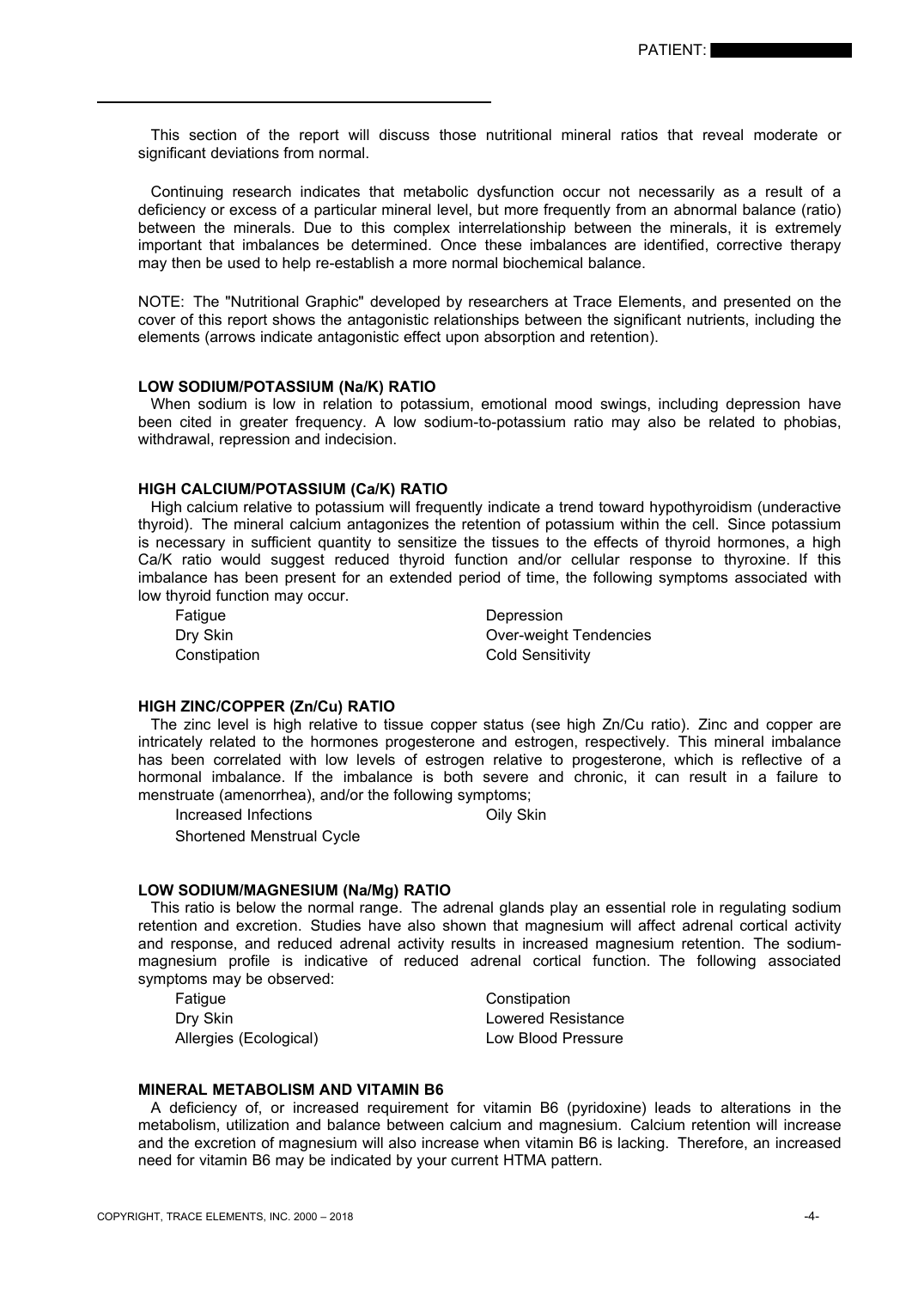This section of the report will discuss those nutritional mineral ratios that reveal moderate or significant deviations from normal.

 Continuing research indicates that metabolic dysfunction occur not necessarily as a result of a deficiency or excess of a particular mineral level, but more frequently from an abnormal balance (ratio) between the minerals. Due to this complex interrelationship between the minerals, it is extremely important that imbalances be determined. Once these imbalances are identified, corrective therapy may then be used to help re-establish a more normal biochemical balance.

NOTE: The "Nutritional Graphic" developed by researchers at Trace Elements, and presented on the cover of this report shows the antagonistic relationships between the significant nutrients, including the elements (arrows indicate antagonistic effect upon absorption and retention).

#### **LOW SODIUM/POTASSIUM (Na/K) RATIO**

 When sodium is low in relation to potassium, emotional mood swings, including depression have been cited in greater frequency. A low sodium-to-potassium ratio may also be related to phobias, withdrawal, repression and indecision.

# **HIGH CALCIUM/POTASSIUM (Ca/K) RATIO**

 High calcium relative to potassium will frequently indicate a trend toward hypothyroidism (underactive thyroid). The mineral calcium antagonizes the retention of potassium within the cell. Since potassium is necessary in sufficient quantity to sensitize the tissues to the effects of thyroid hormones, a high Ca/K ratio would suggest reduced thyroid function and/or cellular response to thyroxine. If this imbalance has been present for an extended period of time, the following symptoms associated with low thyroid function may occur.

Fatigue Depression

Dry Skin **Dry Skin** Over-weight Tendencies Constipation Constitution Cold Sensitivity

## **HIGH ZINC/COPPER (Zn/Cu) RATIO**

 The zinc level is high relative to tissue copper status (see high Zn/Cu ratio). Zinc and copper are intricately related to the hormones progesterone and estrogen, respectively. This mineral imbalance has been correlated with low levels of estrogen relative to progesterone, which is reflective of a hormonal imbalance. If the imbalance is both severe and chronic, it can result in a failure to menstruate (amenorrhea), and/or the following symptoms;

Increased Infections **Oily Skin** 

Shortened Menstrual Cycle

#### **LOW SODIUM/MAGNESIUM (Na/Mg) RATIO**

 This ratio is below the normal range. The adrenal glands play an essential role in regulating sodium retention and excretion. Studies have also shown that magnesium will affect adrenal cortical activity and response, and reduced adrenal activity results in increased magnesium retention. The sodiummagnesium profile is indicative of reduced adrenal cortical function. The following associated symptoms may be observed:

Fatigue **Constitution** Constitution Dry Skin **Dry Skin** Lowered Resistance Allergies (Ecological) and Low Blood Pressure

### **MINERAL METABOLISM AND VITAMIN B6**

 A deficiency of, or increased requirement for vitamin B6 (pyridoxine) leads to alterations in the metabolism, utilization and balance between calcium and magnesium. Calcium retention will increase and the excretion of magnesium will also increase when vitamin B6 is lacking. Therefore, an increased need for vitamin B6 may be indicated by your current HTMA pattern.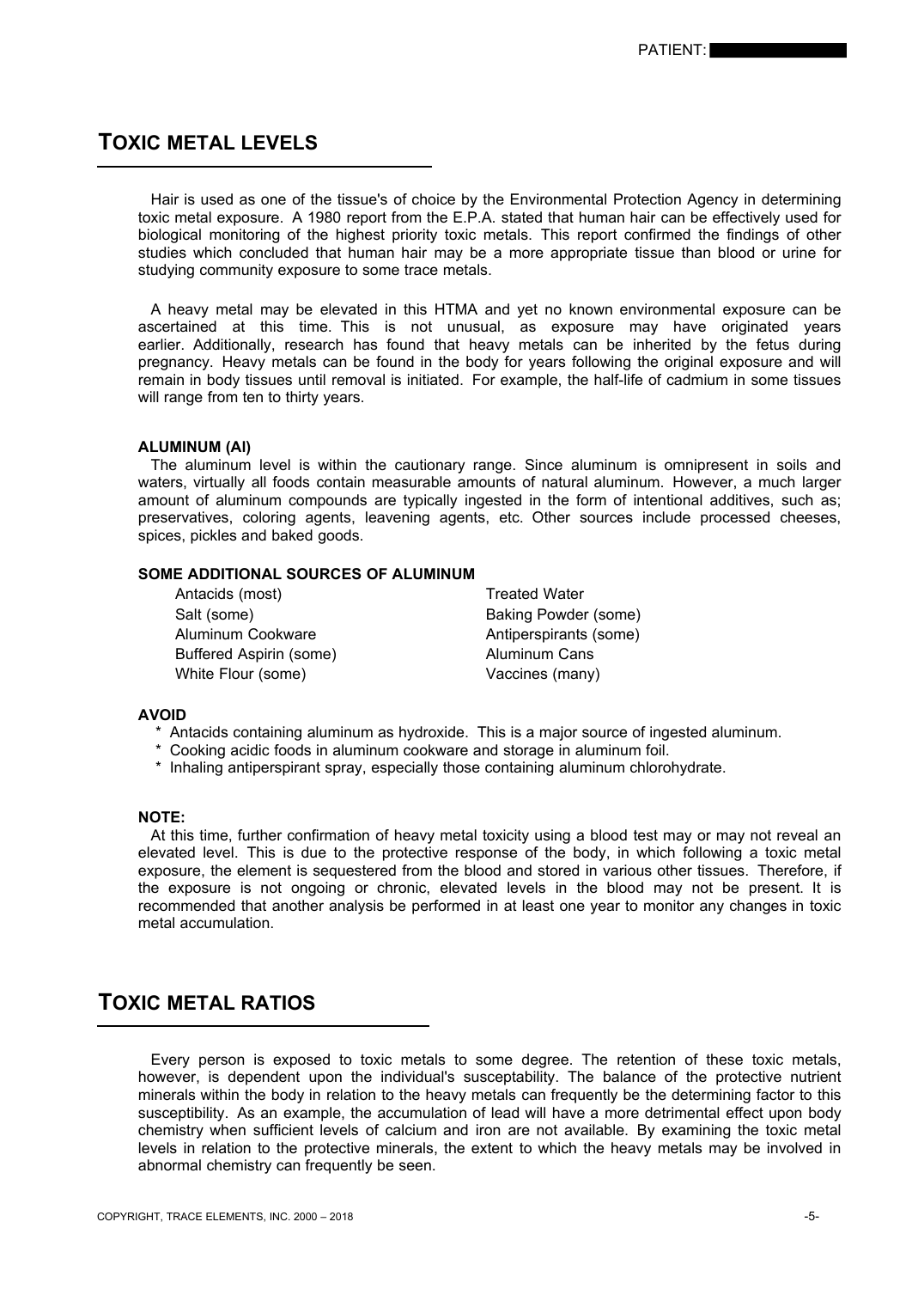# **TOXIC METAL LEVELS**

 Hair is used as one of the tissue's of choice by the Environmental Protection Agency in determining toxic metal exposure. A 1980 report from the E.P.A. stated that human hair can be effectively used for biological monitoring of the highest priority toxic metals. This report confirmed the findings of other studies which concluded that human hair may be a more appropriate tissue than blood or urine for studying community exposure to some trace metals.

 A heavy metal may be elevated in this HTMA and yet no known environmental exposure can be ascertained at this time. This is not unusual, as exposure may have originated years earlier. Additionally, research has found that heavy metals can be inherited by the fetus during pregnancy. Heavy metals can be found in the body for years following the original exposure and will remain in body tissues until removal is initiated. For example, the half-life of cadmium in some tissues will range from ten to thirty years.

## **ALUMINUM (Al)**

 The aluminum level is within the cautionary range. Since aluminum is omnipresent in soils and waters, virtually all foods contain measurable amounts of natural aluminum. However, a much larger amount of aluminum compounds are typically ingested in the form of intentional additives, such as; preservatives, coloring agents, leavening agents, etc. Other sources include processed cheeses, spices, pickles and baked goods.

# **SOME ADDITIONAL SOURCES OF ALUMINUM**

| Antacids (most)         | <b>Treated Water</b>   |
|-------------------------|------------------------|
| Salt (some)             | Baking Powder (some)   |
| Aluminum Cookware       | Antiperspirants (some) |
| Buffered Aspirin (some) | Aluminum Cans          |
| White Flour (some)      | Vaccines (many)        |

#### **AVOID**

- Antacids containing aluminum as hydroxide. This is a major source of ingested aluminum.
- \* Cooking acidic foods in aluminum cookware and storage in aluminum foil.
- \* Inhaling antiperspirant spray, especially those containing aluminum chlorohydrate.

## **NOTE:**

 At this time, further confirmation of heavy metal toxicity using a blood test may or may not reveal an elevated level. This is due to the protective response of the body, in which following a toxic metal exposure, the element is sequestered from the blood and stored in various other tissues. Therefore, if the exposure is not ongoing or chronic, elevated levels in the blood may not be present. It is recommended that another analysis be performed in at least one year to monitor any changes in toxic metal accumulation.

# **TOXIC METAL RATIOS**

 Every person is exposed to toxic metals to some degree. The retention of these toxic metals, however, is dependent upon the individual's susceptability. The balance of the protective nutrient minerals within the body in relation to the heavy metals can frequently be the determining factor to this susceptibility. As an example, the accumulation of lead will have a more detrimental effect upon body chemistry when sufficient levels of calcium and iron are not available. By examining the toxic metal levels in relation to the protective minerals, the extent to which the heavy metals may be involved in abnormal chemistry can frequently be seen.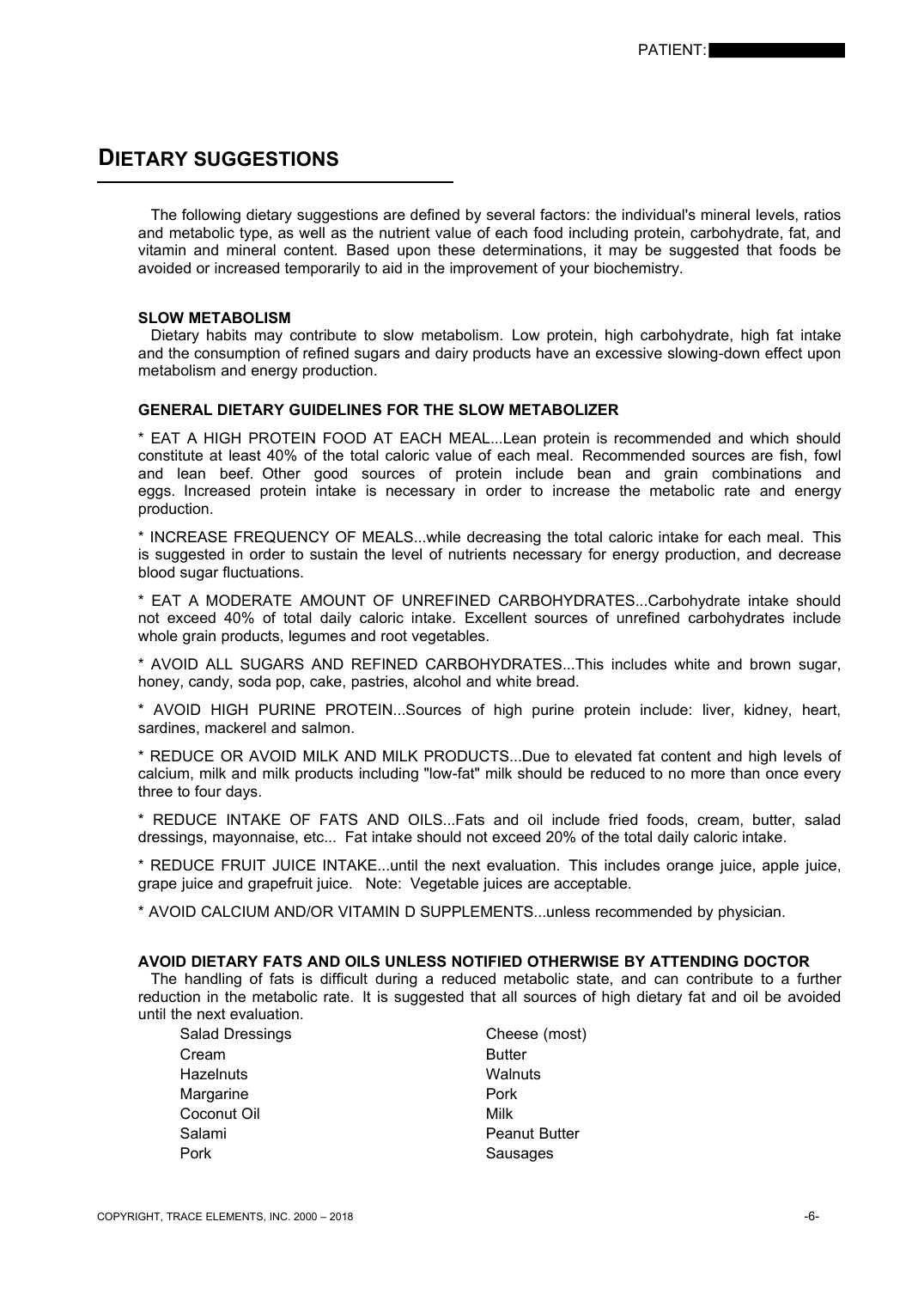# **DIETARY SUGGESTIONS**

 The following dietary suggestions are defined by several factors: the individual's mineral levels, ratios and metabolic type, as well as the nutrient value of each food including protein, carbohydrate, fat, and vitamin and mineral content. Based upon these determinations, it may be suggested that foods be avoided or increased temporarily to aid in the improvement of your biochemistry.

### **SLOW METABOLISM**

 Dietary habits may contribute to slow metabolism. Low protein, high carbohydrate, high fat intake and the consumption of refined sugars and dairy products have an excessive slowing-down effect upon metabolism and energy production.

# **GENERAL DIETARY GUIDELINES FOR THE SLOW METABOLIZER**

\* EAT A HIGH PROTEIN FOOD AT EACH MEAL...Lean protein is recommended and which should constitute at least 40% of the total caloric value of each meal. Recommended sources are fish, fowl and lean beef. Other good sources of protein include bean and grain combinations and eggs. Increased protein intake is necessary in order to increase the metabolic rate and energy production.

\* INCREASE FREQUENCY OF MEALS...while decreasing the total caloric intake for each meal. This is suggested in order to sustain the level of nutrients necessary for energy production, and decrease blood sugar fluctuations.

\* EAT A MODERATE AMOUNT OF UNREFINED CARBOHYDRATES...Carbohydrate intake should not exceed 40% of total daily caloric intake. Excellent sources of unrefined carbohydrates include whole grain products, legumes and root vegetables.

\* AVOID ALL SUGARS AND REFINED CARBOHYDRATES...This includes white and brown sugar, honey, candy, soda pop, cake, pastries, alcohol and white bread.

\* AVOID HIGH PURINE PROTEIN...Sources of high purine protein include: liver, kidney, heart, sardines, mackerel and salmon.

\* REDUCE OR AVOID MILK AND MILK PRODUCTS...Due to elevated fat content and high levels of calcium, milk and milk products including "low-fat" milk should be reduced to no more than once every three to four days.

\* REDUCE INTAKE OF FATS AND OILS...Fats and oil include fried foods, cream, butter, salad dressings, mayonnaise, etc... Fat intake should not exceed 20% of the total daily caloric intake.

\* REDUCE FRUIT JUICE INTAKE...until the next evaluation. This includes orange juice, apple juice, grape juice and grapefruit juice. Note: Vegetable juices are acceptable.

\* AVOID CALCIUM AND/OR VITAMIN D SUPPLEMENTS...unless recommended by physician.

# **AVOID DIETARY FATS AND OILS UNLESS NOTIFIED OTHERWISE BY ATTENDING DOCTOR**

 The handling of fats is difficult during a reduced metabolic state, and can contribute to a further reduction in the metabolic rate. It is suggested that all sources of high dietary fat and oil be avoided until the next evaluation.

| Salad Dressings  | Cheese (most)        |
|------------------|----------------------|
| Cream            | <b>Butter</b>        |
| <b>Hazelnuts</b> | Walnuts              |
| Margarine        | Pork                 |
| Coconut Oil      | Milk                 |
| Salami           | <b>Peanut Butter</b> |
| Pork             | Sausages             |
|                  |                      |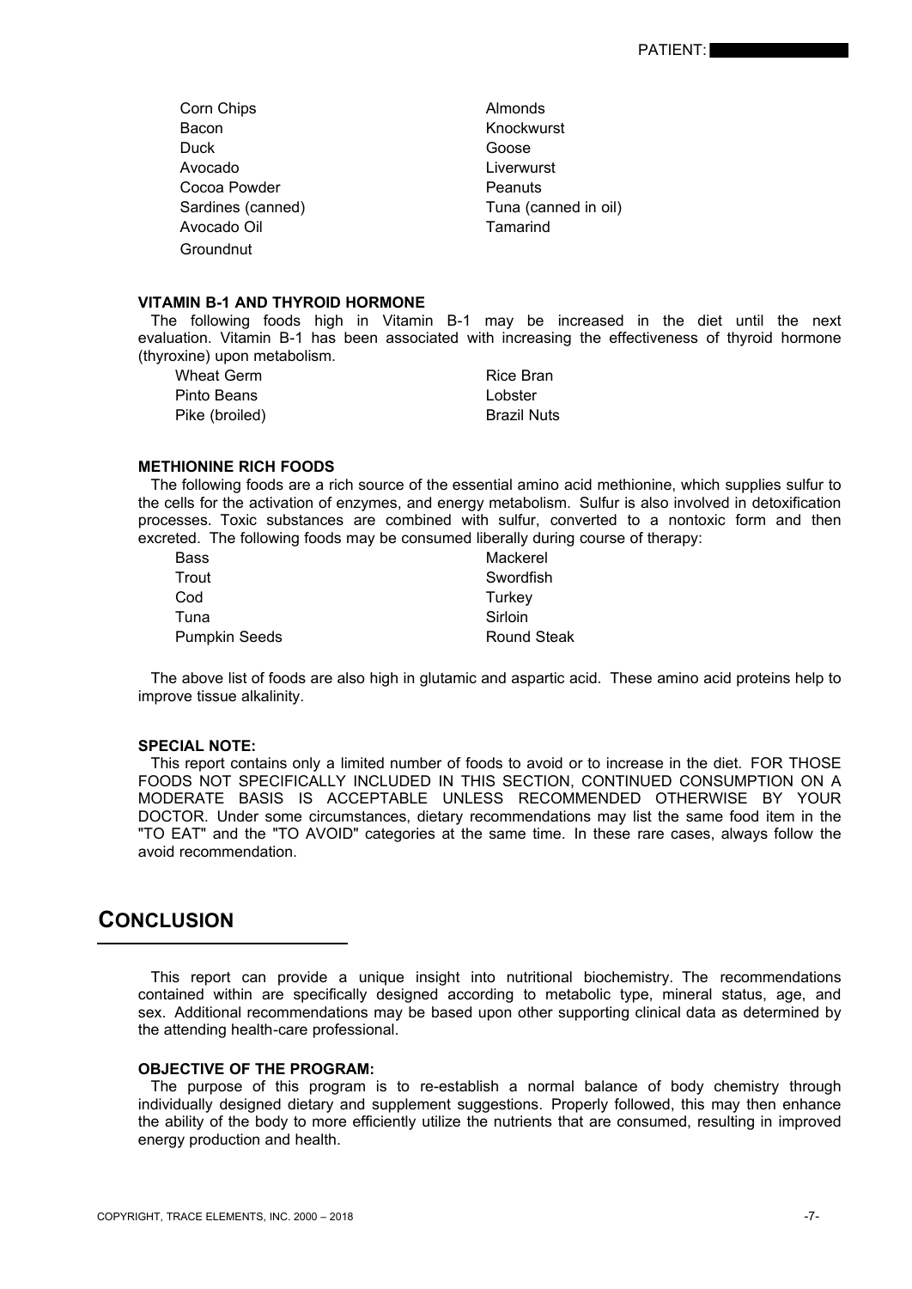- Corn Chips **Almonds** Bacon **Knockwurst** Duck **Goose** Avocado **Liverwurst** Cocoa Powder **Peanuts** Sardines (canned) Tuna (canned in oil) Avocado Oil **Tamarind Groundnut**
- 

#### **VITAMIN B-1 AND THYROID HORMONE**

 The following foods high in Vitamin B-1 may be increased in the diet until the next evaluation. Vitamin B-1 has been associated with increasing the effectiveness of thyroid hormone (thyroxine) upon metabolism.

| Wheat Germ     | Rice Bran          |
|----------------|--------------------|
| Pinto Beans    | Lobster            |
| Pike (broiled) | <b>Brazil Nuts</b> |

# **METHIONINE RICH FOODS**

 The following foods are a rich source of the essential amino acid methionine, which supplies sulfur to the cells for the activation of enzymes, and energy metabolism. Sulfur is also involved in detoxification processes. Toxic substances are combined with sulfur, converted to a nontoxic form and then excreted. The following foods may be consumed liberally during course of therapy:

| Bass                 | Mackerel           |
|----------------------|--------------------|
| Trout                | Swordfish          |
| Cod                  | Turkey             |
| Tuna                 | Sirloin            |
| <b>Pumpkin Seeds</b> | <b>Round Steak</b> |

 The above list of foods are also high in glutamic and aspartic acid. These amino acid proteins help to improve tissue alkalinity.

### **SPECIAL NOTE:**

 This report contains only a limited number of foods to avoid or to increase in the diet. FOR THOSE FOODS NOT SPECIFICALLY INCLUDED IN THIS SECTION, CONTINUED CONSUMPTION ON A MODERATE BASIS IS ACCEPTABLE UNLESS RECOMMENDED OTHERWISE BY YOUR DOCTOR. Under some circumstances, dietary recommendations may list the same food item in the "TO EAT" and the "TO AVOID" categories at the same time. In these rare cases, always follow the avoid recommendation.

# **CONCLUSION**

 This report can provide a unique insight into nutritional biochemistry. The recommendations contained within are specifically designed according to metabolic type, mineral status, age, and sex. Additional recommendations may be based upon other supporting clinical data as determined by the attending health-care professional.

# **OBJECTIVE OF THE PROGRAM:**

 The purpose of this program is to re-establish a normal balance of body chemistry through individually designed dietary and supplement suggestions. Properly followed, this may then enhance the ability of the body to more efficiently utilize the nutrients that are consumed, resulting in improved energy production and health.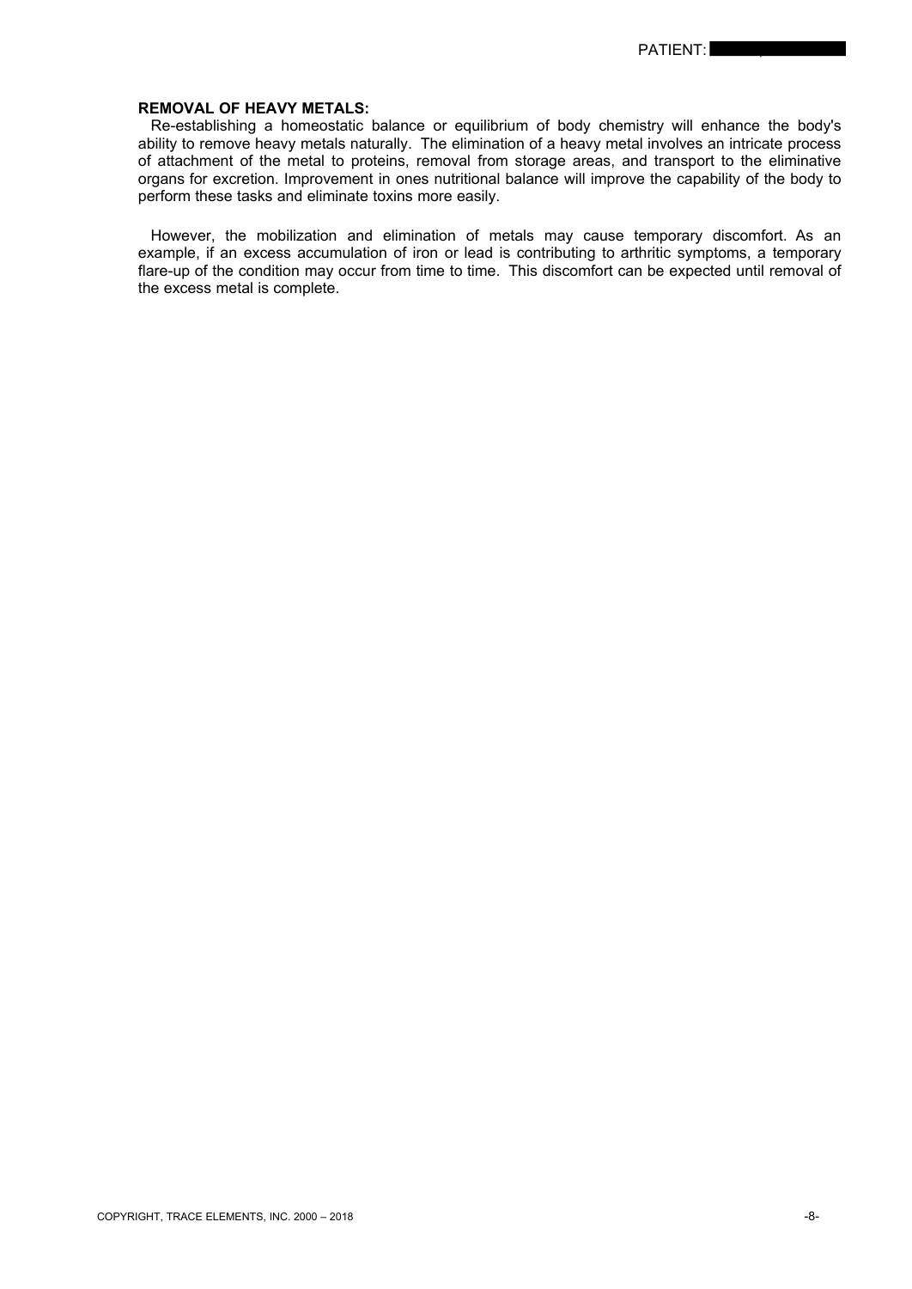## **REMOVAL OF HEAVY METALS:**

 Re-establishing a homeostatic balance or equilibrium of body chemistry will enhance the body's ability to remove heavy metals naturally. The elimination of a heavy metal involves an intricate process of attachment of the metal to proteins, removal from storage areas, and transport to the eliminative organs for excretion. Improvement in ones nutritional balance will improve the capability of the body to perform these tasks and eliminate toxins more easily.

 However, the mobilization and elimination of metals may cause temporary discomfort. As an example, if an excess accumulation of iron or lead is contributing to arthritic symptoms, a temporary flare-up of the condition may occur from time to time. This discomfort can be expected until removal of the excess metal is complete.